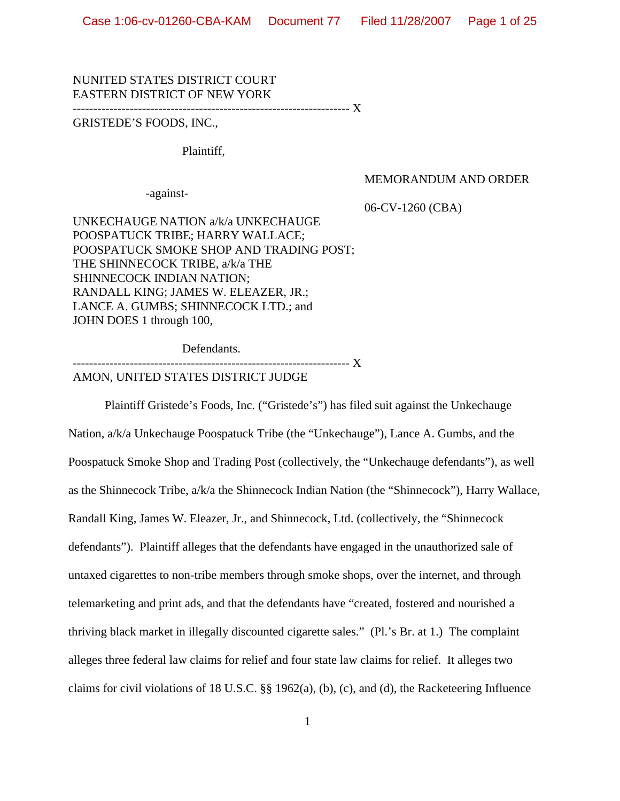# NUNITED STATES DISTRICT COURT EASTERN DISTRICT OF NEW YORK

-------------------------------------------------------------------- X

# GRISTEDE'S FOODS, INC.,

Plaintiff,

#### MEMORANDUM AND ORDER

-against-

06-CV-1260 (CBA)

UNKECHAUGE NATION a/k/a UNKECHAUGE POOSPATUCK TRIBE; HARRY WALLACE; POOSPATUCK SMOKE SHOP AND TRADING POST; THE SHINNECOCK TRIBE, a/k/a THE SHINNECOCK INDIAN NATION; RANDALL KING; JAMES W. ELEAZER, JR.; LANCE A. GUMBS; SHINNECOCK LTD.; and JOHN DOES 1 through 100,

Defendants.

--------------  $\rm X$ 

AMON, UNITED STATES DISTRICT JUDGE

Plaintiff Gristede's Foods, Inc. ("Gristede's") has filed suit against the Unkechauge Nation, a/k/a Unkechauge Poospatuck Tribe (the "Unkechauge"), Lance A. Gumbs, and the Poospatuck Smoke Shop and Trading Post (collectively, the "Unkechauge defendants"), as well as the Shinnecock Tribe, a/k/a the Shinnecock Indian Nation (the "Shinnecock"), Harry Wallace, Randall King, James W. Eleazer, Jr., and Shinnecock, Ltd. (collectively, the "Shinnecock defendants"). Plaintiff alleges that the defendants have engaged in the unauthorized sale of untaxed cigarettes to non-tribe members through smoke shops, over the internet, and through telemarketing and print ads, and that the defendants have "created, fostered and nourished a thriving black market in illegally discounted cigarette sales." (Pl.'s Br. at 1.) The complaint alleges three federal law claims for relief and four state law claims for relief. It alleges two claims for civil violations of 18 U.S.C. §§ 1962(a), (b), (c), and (d), the Racketeering Influence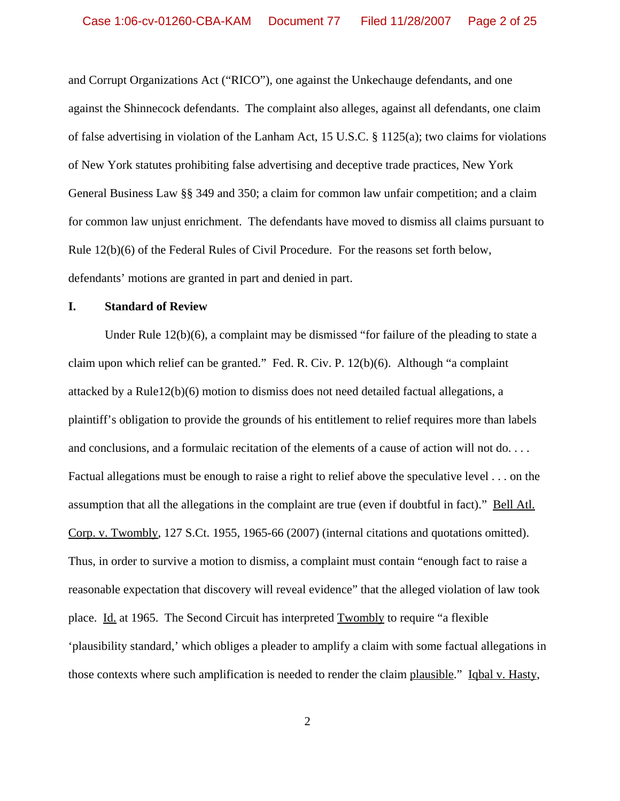and Corrupt Organizations Act ("RICO"), one against the Unkechauge defendants, and one against the Shinnecock defendants. The complaint also alleges, against all defendants, one claim of false advertising in violation of the Lanham Act, 15 U.S.C. § 1125(a); two claims for violations of New York statutes prohibiting false advertising and deceptive trade practices, New York General Business Law §§ 349 and 350; a claim for common law unfair competition; and a claim for common law unjust enrichment. The defendants have moved to dismiss all claims pursuant to Rule 12(b)(6) of the Federal Rules of Civil Procedure. For the reasons set forth below, defendants' motions are granted in part and denied in part.

# **I. Standard of Review**

Under Rule 12(b)(6), a complaint may be dismissed "for failure of the pleading to state a claim upon which relief can be granted." Fed. R. Civ. P. 12(b)(6). Although "a complaint attacked by a Rule12(b)(6) motion to dismiss does not need detailed factual allegations, a plaintiff's obligation to provide the grounds of his entitlement to relief requires more than labels and conclusions, and a formulaic recitation of the elements of a cause of action will not do. . . . Factual allegations must be enough to raise a right to relief above the speculative level . . . on the assumption that all the allegations in the complaint are true (even if doubtful in fact)." Bell Atl. Corp. v. Twombly, 127 S.Ct. 1955, 1965-66 (2007) (internal citations and quotations omitted). Thus, in order to survive a motion to dismiss, a complaint must contain "enough fact to raise a reasonable expectation that discovery will reveal evidence" that the alleged violation of law took place. Id. at 1965. The Second Circuit has interpreted Twombly to require "a flexible 'plausibility standard,' which obliges a pleader to amplify a claim with some factual allegations in those contexts where such amplification is needed to render the claim plausible." Iqbal v. Hasty,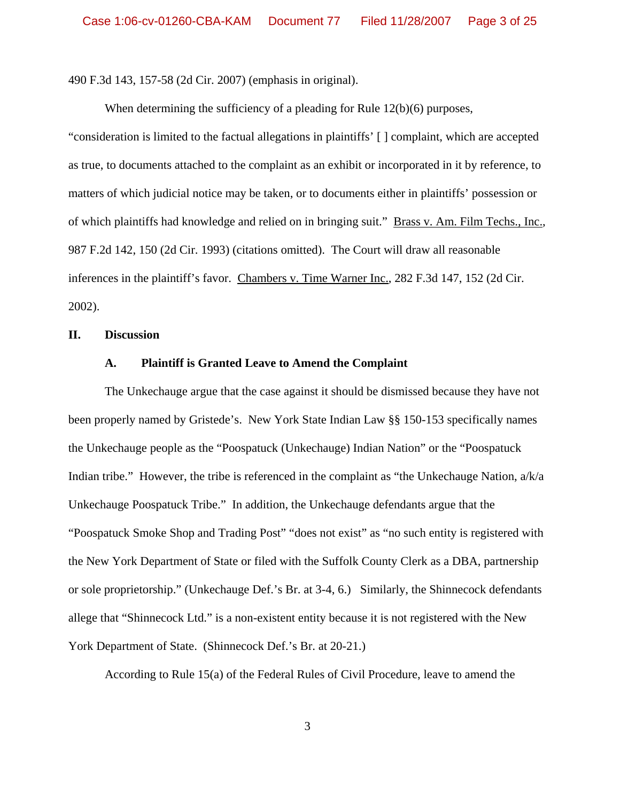490 F.3d 143, 157-58 (2d Cir. 2007) (emphasis in original).

When determining the sufficiency of a pleading for Rule 12(b)(6) purposes,

"consideration is limited to the factual allegations in plaintiffs' [ ] complaint, which are accepted as true, to documents attached to the complaint as an exhibit or incorporated in it by reference, to matters of which judicial notice may be taken, or to documents either in plaintiffs' possession or of which plaintiffs had knowledge and relied on in bringing suit." Brass v. Am. Film Techs., Inc., 987 F.2d 142, 150 (2d Cir. 1993) (citations omitted). The Court will draw all reasonable inferences in the plaintiff's favor. Chambers v. Time Warner Inc., 282 F.3d 147, 152 (2d Cir. 2002).

### **II. Discussion**

#### **A. Plaintiff is Granted Leave to Amend the Complaint**

The Unkechauge argue that the case against it should be dismissed because they have not been properly named by Gristede's. New York State Indian Law §§ 150-153 specifically names the Unkechauge people as the "Poospatuck (Unkechauge) Indian Nation" or the "Poospatuck Indian tribe." However, the tribe is referenced in the complaint as "the Unkechauge Nation, a/k/a Unkechauge Poospatuck Tribe." In addition, the Unkechauge defendants argue that the "Poospatuck Smoke Shop and Trading Post" "does not exist" as "no such entity is registered with the New York Department of State or filed with the Suffolk County Clerk as a DBA, partnership or sole proprietorship." (Unkechauge Def.'s Br. at 3-4, 6.) Similarly, the Shinnecock defendants allege that "Shinnecock Ltd." is a non-existent entity because it is not registered with the New York Department of State. (Shinnecock Def.'s Br. at 20-21.)

According to Rule 15(a) of the Federal Rules of Civil Procedure, leave to amend the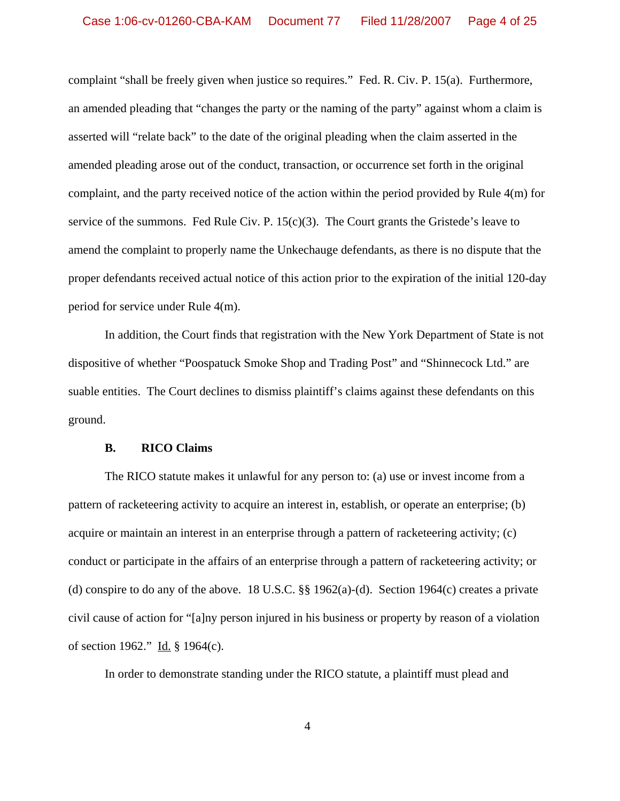complaint "shall be freely given when justice so requires." Fed. R. Civ. P. 15(a). Furthermore, an amended pleading that "changes the party or the naming of the party" against whom a claim is asserted will "relate back" to the date of the original pleading when the claim asserted in the amended pleading arose out of the conduct, transaction, or occurrence set forth in the original complaint, and the party received notice of the action within the period provided by Rule 4(m) for service of the summons. Fed Rule Civ. P.  $15(c)(3)$ . The Court grants the Gristede's leave to amend the complaint to properly name the Unkechauge defendants, as there is no dispute that the proper defendants received actual notice of this action prior to the expiration of the initial 120-day period for service under Rule 4(m).

In addition, the Court finds that registration with the New York Department of State is not dispositive of whether "Poospatuck Smoke Shop and Trading Post" and "Shinnecock Ltd." are suable entities. The Court declines to dismiss plaintiff's claims against these defendants on this ground.

#### **B. RICO Claims**

The RICO statute makes it unlawful for any person to: (a) use or invest income from a pattern of racketeering activity to acquire an interest in, establish, or operate an enterprise; (b) acquire or maintain an interest in an enterprise through a pattern of racketeering activity; (c) conduct or participate in the affairs of an enterprise through a pattern of racketeering activity; or (d) conspire to do any of the above. 18 U.S.C.  $\S$  1962(a)-(d). Section 1964(c) creates a private civil cause of action for "[a]ny person injured in his business or property by reason of a violation of section 1962." Id. § 1964(c).

In order to demonstrate standing under the RICO statute, a plaintiff must plead and

4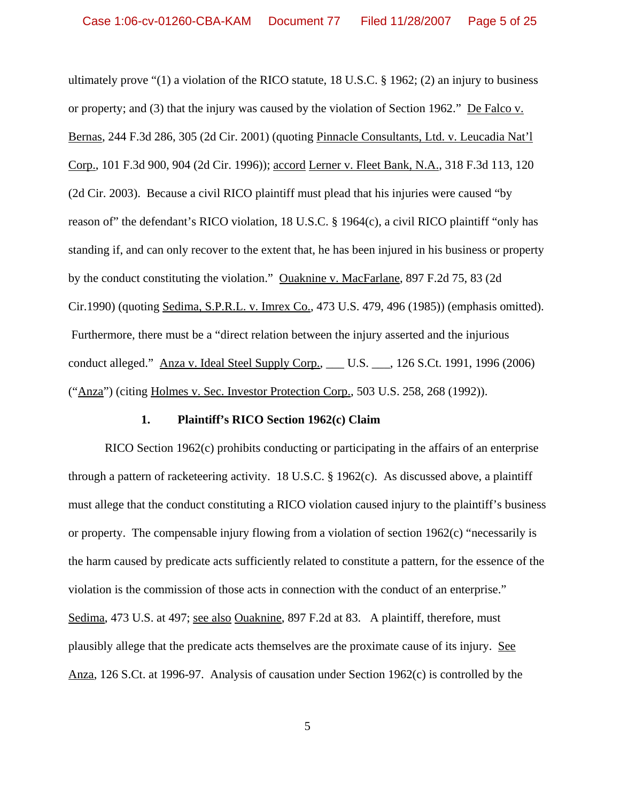ultimately prove "(1) a violation of the RICO statute, 18 U.S.C. § 1962; (2) an injury to business or property; and (3) that the injury was caused by the violation of Section 1962." De Falco v. Bernas, 244 F.3d 286, 305 (2d Cir. 2001) (quoting Pinnacle Consultants, Ltd. v. Leucadia Nat'l Corp., 101 F.3d 900, 904 (2d Cir. 1996)); accord Lerner v. Fleet Bank, N.A., 318 F.3d 113, 120 (2d Cir. 2003). Because a civil RICO plaintiff must plead that his injuries were caused "by reason of" the defendant's RICO violation, 18 U.S.C. § 1964(c), a civil RICO plaintiff "only has standing if, and can only recover to the extent that, he has been injured in his business or property by the conduct constituting the violation." Ouaknine v. MacFarlane, 897 F.2d 75, 83 (2d Cir.1990) (quoting Sedima, S.P.R.L. v. Imrex Co., 473 U.S. 479, 496 (1985)) (emphasis omitted). Furthermore, there must be a "direct relation between the injury asserted and the injurious conduct alleged." Anza v. Ideal Steel Supply Corp., \_\_\_ U.S. \_\_\_, 126 S.Ct. 1991, 1996 (2006) ("Anza") (citing Holmes v. Sec. Investor Protection Corp., 503 U.S. 258, 268 (1992)).

#### **1. Plaintiff's RICO Section 1962(c) Claim**

RICO Section 1962(c) prohibits conducting or participating in the affairs of an enterprise through a pattern of racketeering activity. 18 U.S.C. § 1962(c). As discussed above, a plaintiff must allege that the conduct constituting a RICO violation caused injury to the plaintiff's business or property. The compensable injury flowing from a violation of section 1962(c) "necessarily is the harm caused by predicate acts sufficiently related to constitute a pattern, for the essence of the violation is the commission of those acts in connection with the conduct of an enterprise." Sedima, 473 U.S. at 497; see also Ouaknine, 897 F.2d at 83. A plaintiff, therefore, must plausibly allege that the predicate acts themselves are the proximate cause of its injury. See Anza, 126 S.Ct. at 1996-97. Analysis of causation under Section 1962(c) is controlled by the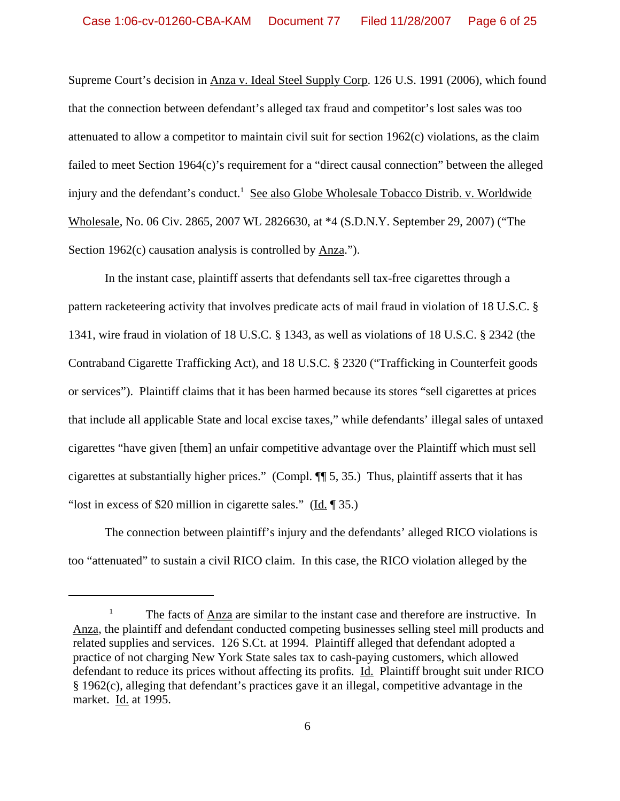Supreme Court's decision in Anza v. Ideal Steel Supply Corp. 126 U.S. 1991 (2006), which found that the connection between defendant's alleged tax fraud and competitor's lost sales was too attenuated to allow a competitor to maintain civil suit for section 1962(c) violations, as the claim failed to meet Section 1964(c)'s requirement for a "direct causal connection" between the alleged injury and the defendant's conduct.<sup>1</sup> See also Globe Wholesale Tobacco Distrib. v. Worldwide Wholesale, No. 06 Civ. 2865, 2007 WL 2826630, at \*4 (S.D.N.Y. September 29, 2007) ("The Section 1962 $(c)$  causation analysis is controlled by  $\Delta$ nza.").

In the instant case, plaintiff asserts that defendants sell tax-free cigarettes through a pattern racketeering activity that involves predicate acts of mail fraud in violation of 18 U.S.C. § 1341, wire fraud in violation of 18 U.S.C. § 1343, as well as violations of 18 U.S.C. § 2342 (the Contraband Cigarette Trafficking Act), and 18 U.S.C. § 2320 ("Trafficking in Counterfeit goods or services"). Plaintiff claims that it has been harmed because its stores "sell cigarettes at prices that include all applicable State and local excise taxes," while defendants' illegal sales of untaxed cigarettes "have given [them] an unfair competitive advantage over the Plaintiff which must sell cigarettes at substantially higher prices." (Compl. ¶¶ 5, 35.) Thus, plaintiff asserts that it has "lost in excess of \$20 million in cigarette sales." ( $\underline{Id}$ . [35.)

The connection between plaintiff's injury and the defendants' alleged RICO violations is too "attenuated" to sustain a civil RICO claim. In this case, the RICO violation alleged by the

<sup>1</sup> The facts of Anza are similar to the instant case and therefore are instructive. In Anza, the plaintiff and defendant conducted competing businesses selling steel mill products and related supplies and services. 126 S.Ct. at 1994. Plaintiff alleged that defendant adopted a practice of not charging New York State sales tax to cash-paying customers, which allowed defendant to reduce its prices without affecting its profits. Id. Plaintiff brought suit under RICO § 1962(c), alleging that defendant's practices gave it an illegal, competitive advantage in the market. Id. at 1995.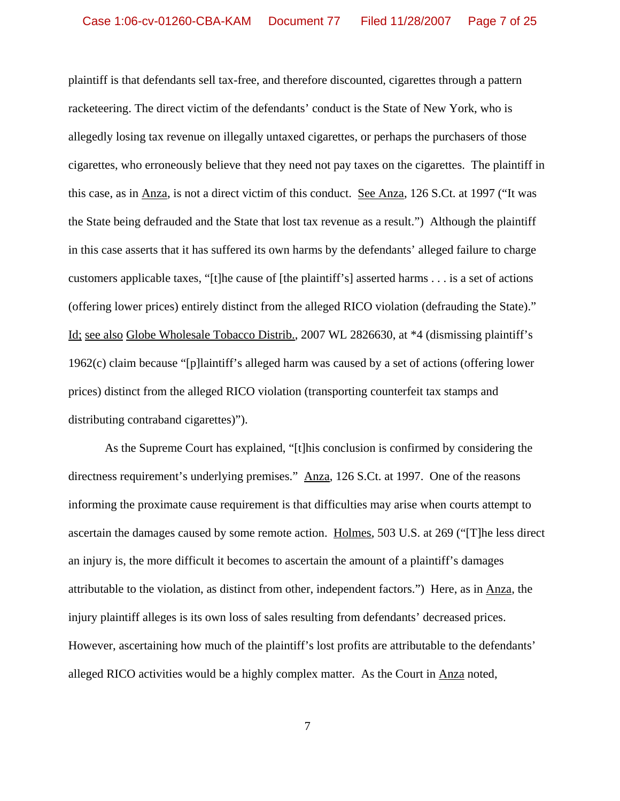plaintiff is that defendants sell tax-free, and therefore discounted, cigarettes through a pattern racketeering. The direct victim of the defendants' conduct is the State of New York, who is allegedly losing tax revenue on illegally untaxed cigarettes, or perhaps the purchasers of those cigarettes, who erroneously believe that they need not pay taxes on the cigarettes. The plaintiff in this case, as in Anza, is not a direct victim of this conduct. See Anza, 126 S.Ct. at 1997 ("It was the State being defrauded and the State that lost tax revenue as a result.") Although the plaintiff in this case asserts that it has suffered its own harms by the defendants' alleged failure to charge customers applicable taxes, "[t]he cause of [the plaintiff's] asserted harms . . . is a set of actions (offering lower prices) entirely distinct from the alleged RICO violation (defrauding the State)." Id; see also Globe Wholesale Tobacco Distrib., 2007 WL 2826630, at \*4 (dismissing plaintiff's 1962(c) claim because "[p]laintiff's alleged harm was caused by a set of actions (offering lower prices) distinct from the alleged RICO violation (transporting counterfeit tax stamps and distributing contraband cigarettes)").

As the Supreme Court has explained, "[t]his conclusion is confirmed by considering the directness requirement's underlying premises." Anza, 126 S.Ct. at 1997. One of the reasons informing the proximate cause requirement is that difficulties may arise when courts attempt to ascertain the damages caused by some remote action. Holmes, 503 U.S. at 269 ("[T]he less direct an injury is, the more difficult it becomes to ascertain the amount of a plaintiff's damages attributable to the violation, as distinct from other, independent factors.") Here, as in Anza, the injury plaintiff alleges is its own loss of sales resulting from defendants' decreased prices. However, ascertaining how much of the plaintiff's lost profits are attributable to the defendants' alleged RICO activities would be a highly complex matter. As the Court in Anza noted,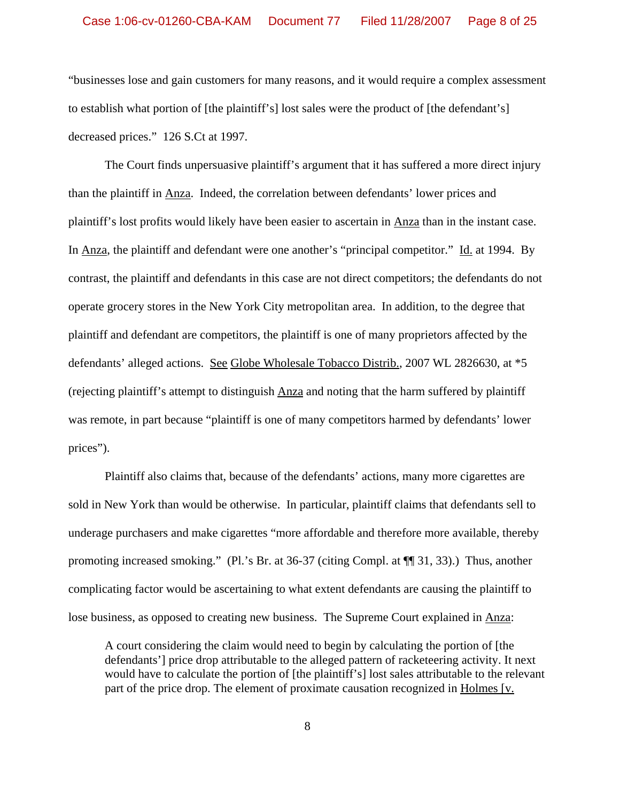"businesses lose and gain customers for many reasons, and it would require a complex assessment to establish what portion of [the plaintiff's] lost sales were the product of [the defendant's] decreased prices." 126 S.Ct at 1997.

The Court finds unpersuasive plaintiff's argument that it has suffered a more direct injury than the plaintiff in Anza. Indeed, the correlation between defendants' lower prices and plaintiff's lost profits would likely have been easier to ascertain in Anza than in the instant case. In Anza, the plaintiff and defendant were one another's "principal competitor." Id. at 1994. By contrast, the plaintiff and defendants in this case are not direct competitors; the defendants do not operate grocery stores in the New York City metropolitan area. In addition, to the degree that plaintiff and defendant are competitors, the plaintiff is one of many proprietors affected by the defendants' alleged actions. See Globe Wholesale Tobacco Distrib., 2007 WL 2826630, at \*5 (rejecting plaintiff's attempt to distinguish Anza and noting that the harm suffered by plaintiff was remote, in part because "plaintiff is one of many competitors harmed by defendants' lower prices").

Plaintiff also claims that, because of the defendants' actions, many more cigarettes are sold in New York than would be otherwise. In particular, plaintiff claims that defendants sell to underage purchasers and make cigarettes "more affordable and therefore more available, thereby promoting increased smoking." (Pl.'s Br. at 36-37 (citing Compl. at ¶¶ 31, 33).) Thus, another complicating factor would be ascertaining to what extent defendants are causing the plaintiff to lose business, as opposed to creating new business. The Supreme Court explained in Anza:

A court considering the claim would need to begin by calculating the portion of [the defendants'] price drop attributable to the alleged pattern of racketeering activity. It next would have to calculate the portion of [the plaintiff's] lost sales attributable to the relevant part of the price drop. The element of proximate causation recognized in Holmes [v.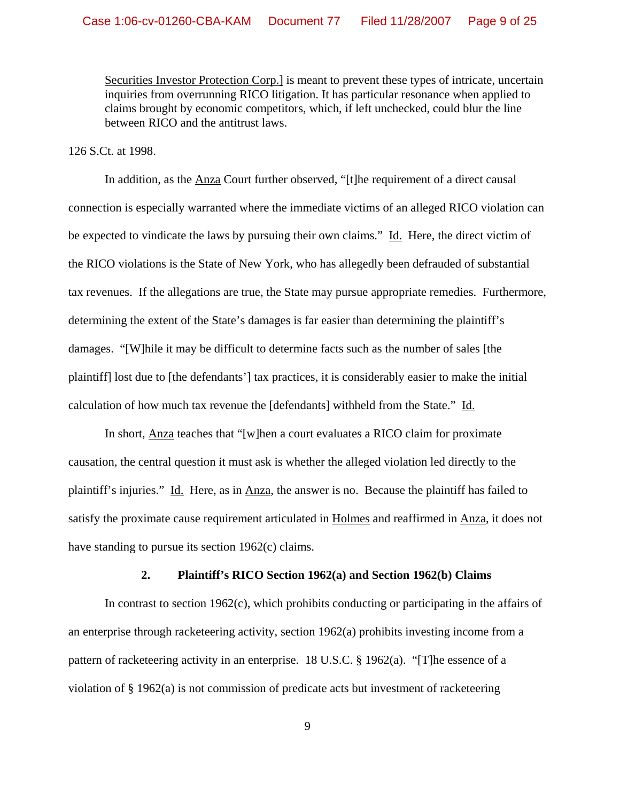Securities Investor Protection Corp.] is meant to prevent these types of intricate, uncertain inquiries from overrunning RICO litigation. It has particular resonance when applied to claims brought by economic competitors, which, if left unchecked, could blur the line between RICO and the antitrust laws.

### 126 S.Ct. at 1998.

In addition, as the Anza Court further observed, "[t]he requirement of a direct causal connection is especially warranted where the immediate victims of an alleged RICO violation can be expected to vindicate the laws by pursuing their own claims." Id. Here, the direct victim of the RICO violations is the State of New York, who has allegedly been defrauded of substantial tax revenues. If the allegations are true, the State may pursue appropriate remedies. Furthermore, determining the extent of the State's damages is far easier than determining the plaintiff's damages. "[W]hile it may be difficult to determine facts such as the number of sales [the plaintiff] lost due to [the defendants'] tax practices, it is considerably easier to make the initial calculation of how much tax revenue the [defendants] withheld from the State." Id.

In short, Anza teaches that "[w]hen a court evaluates a RICO claim for proximate causation, the central question it must ask is whether the alleged violation led directly to the plaintiff's injuries." Id. Here, as in Anza, the answer is no. Because the plaintiff has failed to satisfy the proximate cause requirement articulated in Holmes and reaffirmed in Anza, it does not have standing to pursue its section 1962(c) claims.

### **2. Plaintiff's RICO Section 1962(a) and Section 1962(b) Claims**

In contrast to section 1962(c), which prohibits conducting or participating in the affairs of an enterprise through racketeering activity, section 1962(a) prohibits investing income from a pattern of racketeering activity in an enterprise. 18 U.S.C. § 1962(a). "[T]he essence of a violation of § 1962(a) is not commission of predicate acts but investment of racketeering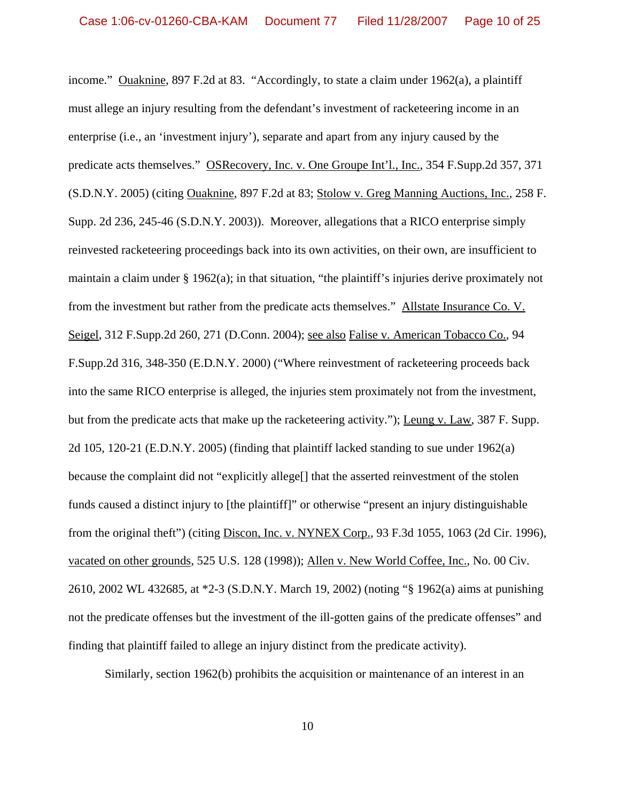income." Ouaknine, 897 F.2d at 83. "Accordingly, to state a claim under 1962(a), a plaintiff must allege an injury resulting from the defendant's investment of racketeering income in an enterprise (i.e., an 'investment injury'), separate and apart from any injury caused by the predicate acts themselves." OSRecovery, Inc. v. One Groupe Int'l., Inc., 354 F.Supp.2d 357, 371 (S.D.N.Y. 2005) (citing Ouaknine, 897 F.2d at 83; Stolow v. Greg Manning Auctions, Inc., 258 F. Supp. 2d 236, 245-46 (S.D.N.Y. 2003)). Moreover, allegations that a RICO enterprise simply reinvested racketeering proceedings back into its own activities, on their own, are insufficient to maintain a claim under § 1962(a); in that situation, "the plaintiff's injuries derive proximately not from the investment but rather from the predicate acts themselves." Allstate Insurance Co. V. Seigel, 312 F.Supp.2d 260, 271 (D.Conn. 2004); see also Falise v. American Tobacco Co., 94 F.Supp.2d 316, 348-350 (E.D.N.Y. 2000) ("Where reinvestment of racketeering proceeds back into the same RICO enterprise is alleged, the injuries stem proximately not from the investment, but from the predicate acts that make up the racketeering activity."); Leung v. Law, 387 F. Supp. 2d 105, 120-21 (E.D.N.Y. 2005) (finding that plaintiff lacked standing to sue under 1962(a) because the complaint did not "explicitly allege[] that the asserted reinvestment of the stolen funds caused a distinct injury to [the plaintiff]" or otherwise "present an injury distinguishable from the original theft") (citing Discon, Inc. v. NYNEX Corp., 93 F.3d 1055, 1063 (2d Cir. 1996), vacated on other grounds, 525 U.S. 128 (1998)); Allen v. New World Coffee, Inc., No. 00 Civ. 2610, 2002 WL 432685, at \*2-3 (S.D.N.Y. March 19, 2002) (noting "§ 1962(a) aims at punishing not the predicate offenses but the investment of the ill-gotten gains of the predicate offenses" and finding that plaintiff failed to allege an injury distinct from the predicate activity).

Similarly, section 1962(b) prohibits the acquisition or maintenance of an interest in an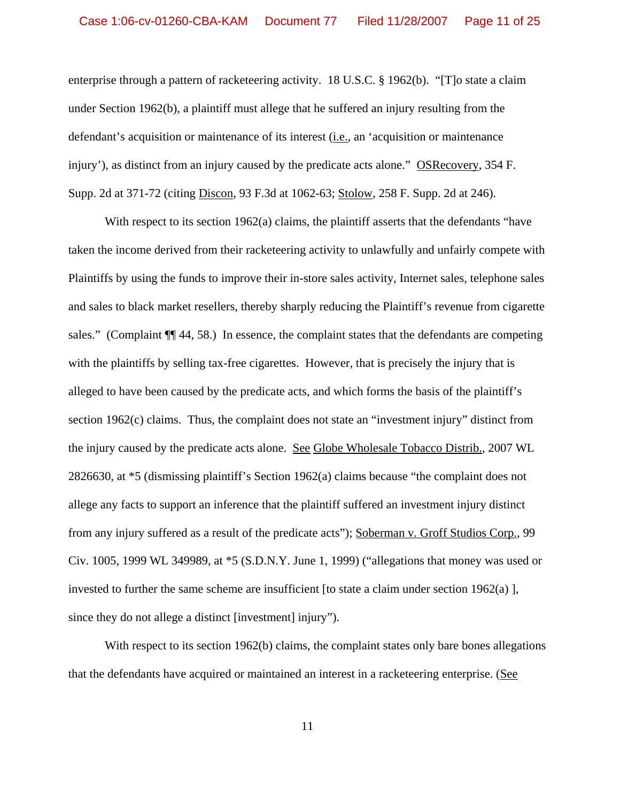enterprise through a pattern of racketeering activity. 18 U.S.C. § 1962(b). "[T]o state a claim under Section 1962(b), a plaintiff must allege that he suffered an injury resulting from the defendant's acquisition or maintenance of its interest (i.e., an 'acquisition or maintenance injury'), as distinct from an injury caused by the predicate acts alone." OSRecovery, 354 F. Supp. 2d at 371-72 (citing Discon, 93 F.3d at 1062-63; Stolow, 258 F. Supp. 2d at 246).

With respect to its section 1962(a) claims, the plaintiff asserts that the defendants "have taken the income derived from their racketeering activity to unlawfully and unfairly compete with Plaintiffs by using the funds to improve their in-store sales activity, Internet sales, telephone sales and sales to black market resellers, thereby sharply reducing the Plaintiff's revenue from cigarette sales." (Complaint  $\P$ [44, 58.) In essence, the complaint states that the defendants are competing with the plaintiffs by selling tax-free cigarettes. However, that is precisely the injury that is alleged to have been caused by the predicate acts, and which forms the basis of the plaintiff's section 1962(c) claims. Thus, the complaint does not state an "investment injury" distinct from the injury caused by the predicate acts alone. See Globe Wholesale Tobacco Distrib., 2007 WL 2826630, at \*5 (dismissing plaintiff's Section 1962(a) claims because "the complaint does not allege any facts to support an inference that the plaintiff suffered an investment injury distinct from any injury suffered as a result of the predicate acts"); Soberman v. Groff Studios Corp., 99 Civ. 1005, 1999 WL 349989, at \*5 (S.D.N.Y. June 1, 1999) ("allegations that money was used or invested to further the same scheme are insufficient [to state a claim under section 1962(a) ], since they do not allege a distinct [investment] injury").

With respect to its section 1962(b) claims, the complaint states only bare bones allegations that the defendants have acquired or maintained an interest in a racketeering enterprise. (See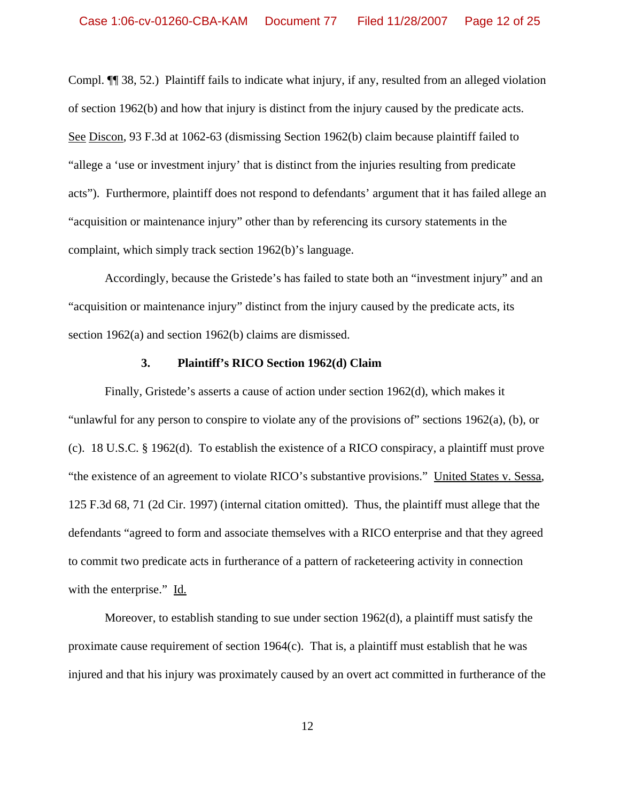Compl. ¶¶ 38, 52.) Plaintiff fails to indicate what injury, if any, resulted from an alleged violation of section 1962(b) and how that injury is distinct from the injury caused by the predicate acts. See Discon, 93 F.3d at 1062-63 (dismissing Section 1962(b) claim because plaintiff failed to "allege a 'use or investment injury' that is distinct from the injuries resulting from predicate acts"). Furthermore, plaintiff does not respond to defendants' argument that it has failed allege an "acquisition or maintenance injury" other than by referencing its cursory statements in the complaint, which simply track section 1962(b)'s language.

Accordingly, because the Gristede's has failed to state both an "investment injury" and an "acquisition or maintenance injury" distinct from the injury caused by the predicate acts, its section 1962(a) and section 1962(b) claims are dismissed.

#### **3. Plaintiff's RICO Section 1962(d) Claim**

Finally, Gristede's asserts a cause of action under section 1962(d), which makes it "unlawful for any person to conspire to violate any of the provisions of" sections 1962(a), (b), or (c). 18 U.S.C. § 1962(d). To establish the existence of a RICO conspiracy, a plaintiff must prove "the existence of an agreement to violate RICO's substantive provisions." United States v. Sessa, 125 F.3d 68, 71 (2d Cir. 1997) (internal citation omitted). Thus, the plaintiff must allege that the defendants "agreed to form and associate themselves with a RICO enterprise and that they agreed to commit two predicate acts in furtherance of a pattern of racketeering activity in connection with the enterprise." Id.

Moreover, to establish standing to sue under section 1962(d), a plaintiff must satisfy the proximate cause requirement of section 1964(c). That is, a plaintiff must establish that he was injured and that his injury was proximately caused by an overt act committed in furtherance of the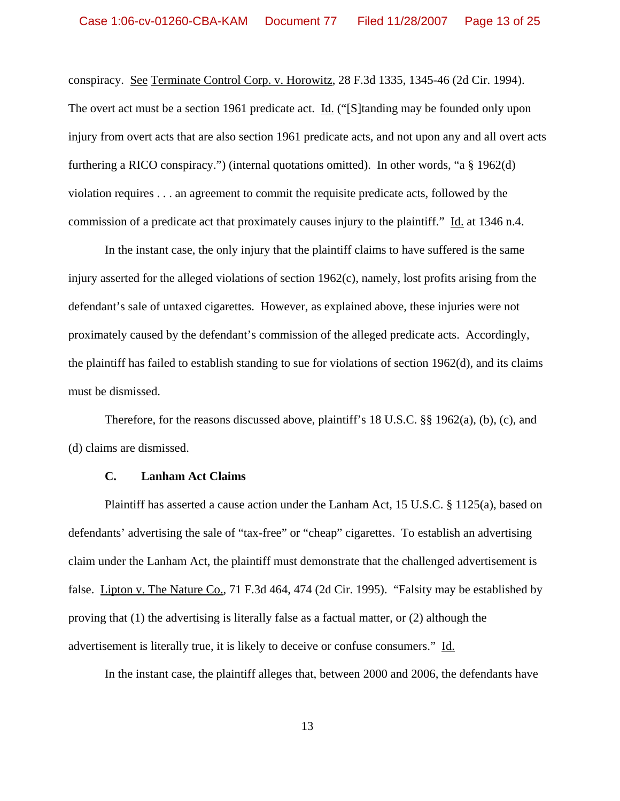conspiracy. See Terminate Control Corp. v. Horowitz, 28 F.3d 1335, 1345-46 (2d Cir. 1994). The overt act must be a section 1961 predicate act. Id. ("S | tanding may be founded only upon injury from overt acts that are also section 1961 predicate acts, and not upon any and all overt acts furthering a RICO conspiracy.") (internal quotations omitted). In other words, "a § 1962(d) violation requires . . . an agreement to commit the requisite predicate acts, followed by the commission of a predicate act that proximately causes injury to the plaintiff." Id. at 1346 n.4.

In the instant case, the only injury that the plaintiff claims to have suffered is the same injury asserted for the alleged violations of section 1962(c), namely, lost profits arising from the defendant's sale of untaxed cigarettes. However, as explained above, these injuries were not proximately caused by the defendant's commission of the alleged predicate acts. Accordingly, the plaintiff has failed to establish standing to sue for violations of section 1962(d), and its claims must be dismissed.

Therefore, for the reasons discussed above, plaintiff's 18 U.S.C. §§ 1962(a), (b), (c), and (d) claims are dismissed.

#### **C. Lanham Act Claims**

Plaintiff has asserted a cause action under the Lanham Act, 15 U.S.C. § 1125(a), based on defendants' advertising the sale of "tax-free" or "cheap" cigarettes. To establish an advertising claim under the Lanham Act, the plaintiff must demonstrate that the challenged advertisement is false. Lipton v. The Nature Co., 71 F.3d 464, 474 (2d Cir. 1995). "Falsity may be established by proving that (1) the advertising is literally false as a factual matter, or (2) although the advertisement is literally true, it is likely to deceive or confuse consumers." Id.

In the instant case, the plaintiff alleges that, between 2000 and 2006, the defendants have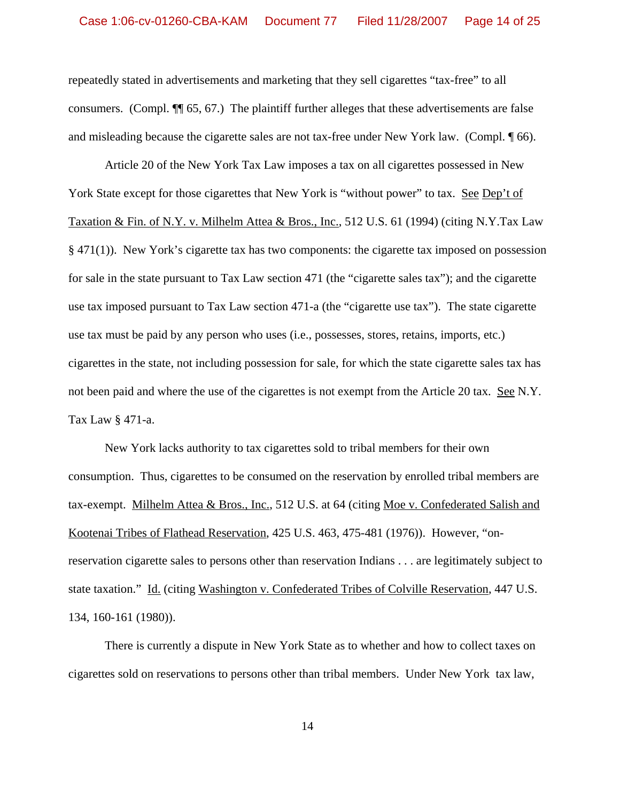repeatedly stated in advertisements and marketing that they sell cigarettes "tax-free" to all consumers. (Compl. ¶¶ 65, 67.) The plaintiff further alleges that these advertisements are false and misleading because the cigarette sales are not tax-free under New York law. (Compl. ¶ 66).

Article 20 of the New York Tax Law imposes a tax on all cigarettes possessed in New York State except for those cigarettes that New York is "without power" to tax. See Dep't of Taxation & Fin. of N.Y. v. Milhelm Attea & Bros., Inc., 512 U.S. 61 (1994) (citing N.Y.Tax Law § 471(1)). New York's cigarette tax has two components: the cigarette tax imposed on possession for sale in the state pursuant to Tax Law section 471 (the "cigarette sales tax"); and the cigarette use tax imposed pursuant to Tax Law section 471-a (the "cigarette use tax"). The state cigarette use tax must be paid by any person who uses (i.e., possesses, stores, retains, imports, etc.) cigarettes in the state, not including possession for sale, for which the state cigarette sales tax has not been paid and where the use of the cigarettes is not exempt from the Article 20 tax. See N.Y. Tax Law § 471-a.

New York lacks authority to tax cigarettes sold to tribal members for their own consumption. Thus, cigarettes to be consumed on the reservation by enrolled tribal members are tax-exempt. Milhelm Attea & Bros., Inc., 512 U.S. at 64 (citing Moe v. Confederated Salish and Kootenai Tribes of Flathead Reservation, 425 U.S. 463, 475-481 (1976)). However, "onreservation cigarette sales to persons other than reservation Indians . . . are legitimately subject to state taxation." Id. (citing Washington v. Confederated Tribes of Colville Reservation, 447 U.S. 134, 160-161 (1980)).

There is currently a dispute in New York State as to whether and how to collect taxes on cigarettes sold on reservations to persons other than tribal members. Under New York tax law,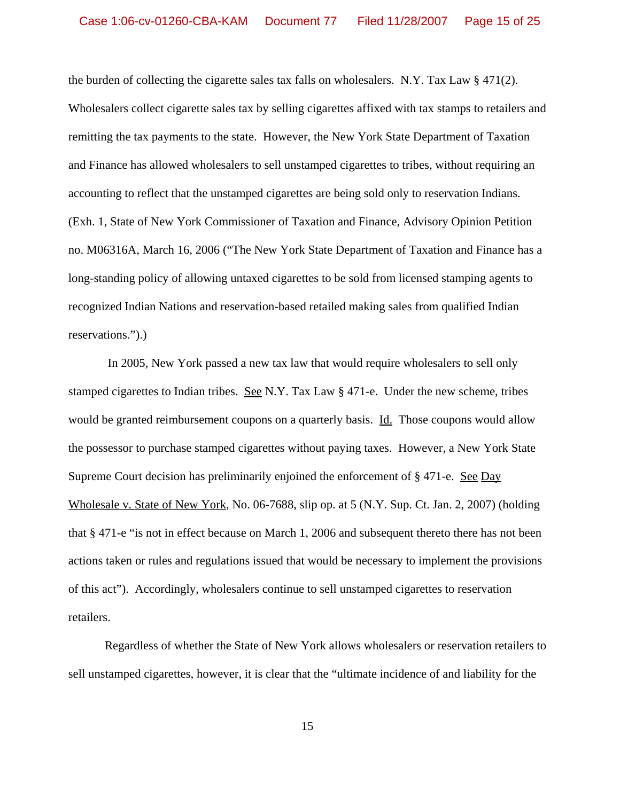the burden of collecting the cigarette sales tax falls on wholesalers. N.Y. Tax Law  $\S 471(2)$ . Wholesalers collect cigarette sales tax by selling cigarettes affixed with tax stamps to retailers and remitting the tax payments to the state. However, the New York State Department of Taxation and Finance has allowed wholesalers to sell unstamped cigarettes to tribes, without requiring an accounting to reflect that the unstamped cigarettes are being sold only to reservation Indians. (Exh. 1, State of New York Commissioner of Taxation and Finance, Advisory Opinion Petition no. M06316A, March 16, 2006 ("The New York State Department of Taxation and Finance has a long-standing policy of allowing untaxed cigarettes to be sold from licensed stamping agents to recognized Indian Nations and reservation-based retailed making sales from qualified Indian reservations.").)

 In 2005, New York passed a new tax law that would require wholesalers to sell only stamped cigarettes to Indian tribes. See N.Y. Tax Law § 471-e. Under the new scheme, tribes would be granted reimbursement coupons on a quarterly basis. Id. Those coupons would allow the possessor to purchase stamped cigarettes without paying taxes. However, a New York State Supreme Court decision has preliminarily enjoined the enforcement of  $\S 471$ -e. See Day Wholesale v. State of New York, No. 06-7688, slip op. at 5 (N.Y. Sup. Ct. Jan. 2, 2007) (holding that § 471-e "is not in effect because on March 1, 2006 and subsequent thereto there has not been actions taken or rules and regulations issued that would be necessary to implement the provisions of this act"). Accordingly, wholesalers continue to sell unstamped cigarettes to reservation retailers.

Regardless of whether the State of New York allows wholesalers or reservation retailers to sell unstamped cigarettes, however, it is clear that the "ultimate incidence of and liability for the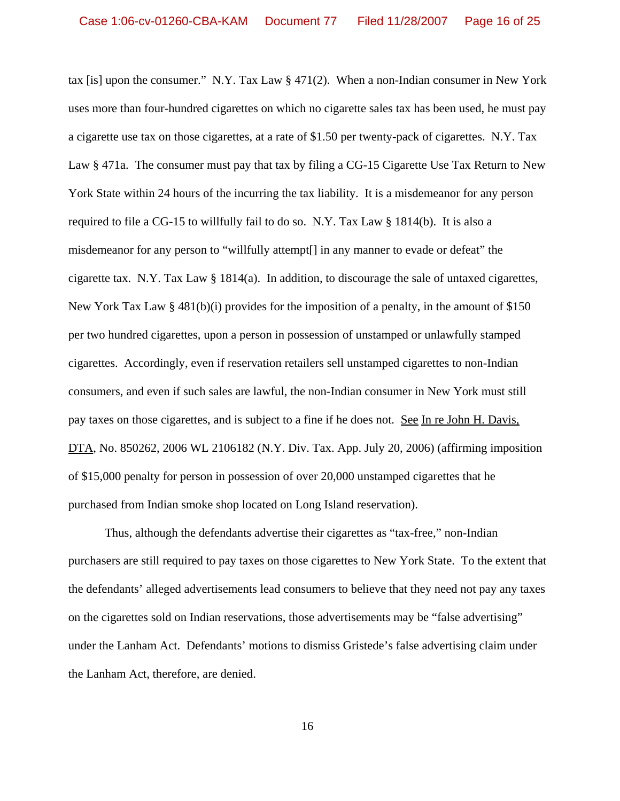tax [is] upon the consumer." N.Y. Tax Law § 471(2). When a non-Indian consumer in New York uses more than four-hundred cigarettes on which no cigarette sales tax has been used, he must pay a cigarette use tax on those cigarettes, at a rate of \$1.50 per twenty-pack of cigarettes. N.Y. Tax Law § 471a. The consumer must pay that tax by filing a CG-15 Cigarette Use Tax Return to New York State within 24 hours of the incurring the tax liability. It is a misdemeanor for any person required to file a CG-15 to willfully fail to do so. N.Y. Tax Law § 1814(b). It is also a misdemeanor for any person to "willfully attempt[] in any manner to evade or defeat" the cigarette tax. N.Y. Tax Law § 1814(a). In addition, to discourage the sale of untaxed cigarettes, New York Tax Law  $\S 481(b)(i)$  provides for the imposition of a penalty, in the amount of \$150 per two hundred cigarettes, upon a person in possession of unstamped or unlawfully stamped cigarettes. Accordingly, even if reservation retailers sell unstamped cigarettes to non-Indian consumers, and even if such sales are lawful, the non-Indian consumer in New York must still pay taxes on those cigarettes, and is subject to a fine if he does not*.* See In re John H. Davis, DTA, No. 850262, 2006 WL 2106182 (N.Y. Div. Tax. App. July 20, 2006) (affirming imposition of \$15,000 penalty for person in possession of over 20,000 unstamped cigarettes that he purchased from Indian smoke shop located on Long Island reservation).

Thus, although the defendants advertise their cigarettes as "tax-free," non-Indian purchasers are still required to pay taxes on those cigarettes to New York State. To the extent that the defendants' alleged advertisements lead consumers to believe that they need not pay any taxes on the cigarettes sold on Indian reservations, those advertisements may be "false advertising" under the Lanham Act. Defendants' motions to dismiss Gristede's false advertising claim under the Lanham Act, therefore, are denied.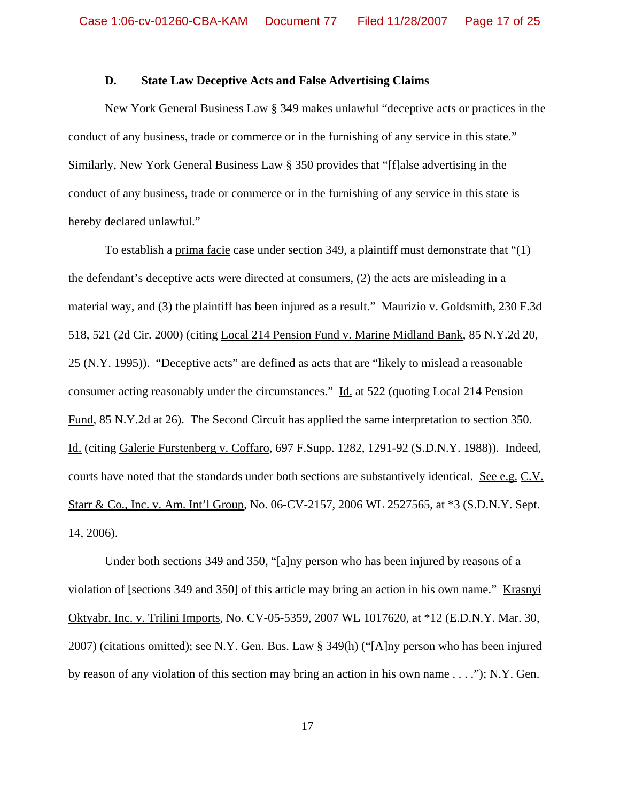### **D. State Law Deceptive Acts and False Advertising Claims**

New York General Business Law § 349 makes unlawful "deceptive acts or practices in the conduct of any business, trade or commerce or in the furnishing of any service in this state." Similarly, New York General Business Law § 350 provides that "[f]alse advertising in the conduct of any business, trade or commerce or in the furnishing of any service in this state is hereby declared unlawful."

To establish a prima facie case under section 349, a plaintiff must demonstrate that "(1) the defendant's deceptive acts were directed at consumers, (2) the acts are misleading in a material way, and (3) the plaintiff has been injured as a result." Maurizio v. Goldsmith, 230 F.3d 518, 521 (2d Cir. 2000) (citing Local 214 Pension Fund v. Marine Midland Bank, 85 N.Y.2d 20, 25 (N.Y. 1995)). "Deceptive acts" are defined as acts that are "likely to mislead a reasonable consumer acting reasonably under the circumstances." Id. at 522 (quoting Local 214 Pension Fund, 85 N.Y.2d at 26). The Second Circuit has applied the same interpretation to section 350. Id. (citing Galerie Furstenberg v. Coffaro, 697 F.Supp. 1282, 1291-92 (S.D.N.Y. 1988)). Indeed, courts have noted that the standards under both sections are substantively identical. See e.g. C.V. Starr & Co., Inc. v. Am. Int'l Group, No. 06-CV-2157, 2006 WL 2527565, at \*3 (S.D.N.Y. Sept. 14, 2006).

Under both sections 349 and 350, "[a]ny person who has been injured by reasons of a violation of [sections 349 and 350] of this article may bring an action in his own name." Krasnyi Oktyabr, Inc. v. Trilini Imports, No. CV-05-5359, 2007 WL 1017620, at \*12 (E.D.N.Y. Mar. 30, 2007) (citations omitted); see N.Y. Gen. Bus. Law § 349(h) ("[A]ny person who has been injured by reason of any violation of this section may bring an action in his own name . . . ."); N.Y. Gen.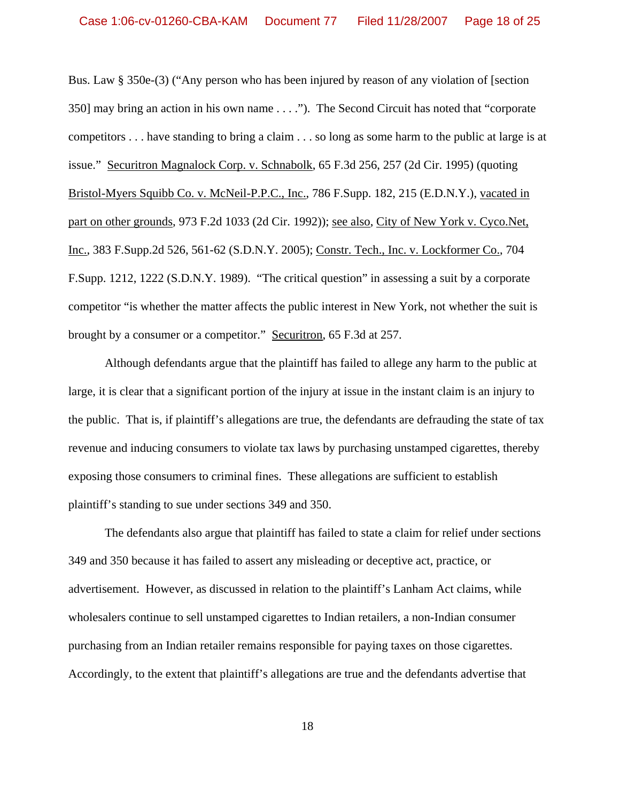Bus. Law § 350e-(3) ("Any person who has been injured by reason of any violation of [section 350] may bring an action in his own name . . . ."). The Second Circuit has noted that "corporate competitors . . . have standing to bring a claim . . . so long as some harm to the public at large is at issue." Securitron Magnalock Corp. v. Schnabolk, 65 F.3d 256, 257 (2d Cir. 1995) (quoting Bristol-Myers Squibb Co. v. McNeil-P.P.C., Inc., 786 F.Supp. 182, 215 (E.D.N.Y.), vacated in part on other grounds, 973 F.2d 1033 (2d Cir. 1992)); see also, City of New York v. Cyco.Net, Inc., 383 F.Supp.2d 526, 561-62 (S.D.N.Y. 2005); Constr. Tech., Inc. v. Lockformer Co., 704 F.Supp. 1212, 1222 (S.D.N.Y. 1989). "The critical question" in assessing a suit by a corporate competitor "is whether the matter affects the public interest in New York, not whether the suit is brought by a consumer or a competitor." Securitron, 65 F.3d at 257.

Although defendants argue that the plaintiff has failed to allege any harm to the public at large, it is clear that a significant portion of the injury at issue in the instant claim is an injury to the public. That is, if plaintiff's allegations are true, the defendants are defrauding the state of tax revenue and inducing consumers to violate tax laws by purchasing unstamped cigarettes, thereby exposing those consumers to criminal fines. These allegations are sufficient to establish plaintiff's standing to sue under sections 349 and 350.

The defendants also argue that plaintiff has failed to state a claim for relief under sections 349 and 350 because it has failed to assert any misleading or deceptive act, practice, or advertisement. However, as discussed in relation to the plaintiff's Lanham Act claims, while wholesalers continue to sell unstamped cigarettes to Indian retailers, a non-Indian consumer purchasing from an Indian retailer remains responsible for paying taxes on those cigarettes. Accordingly, to the extent that plaintiff's allegations are true and the defendants advertise that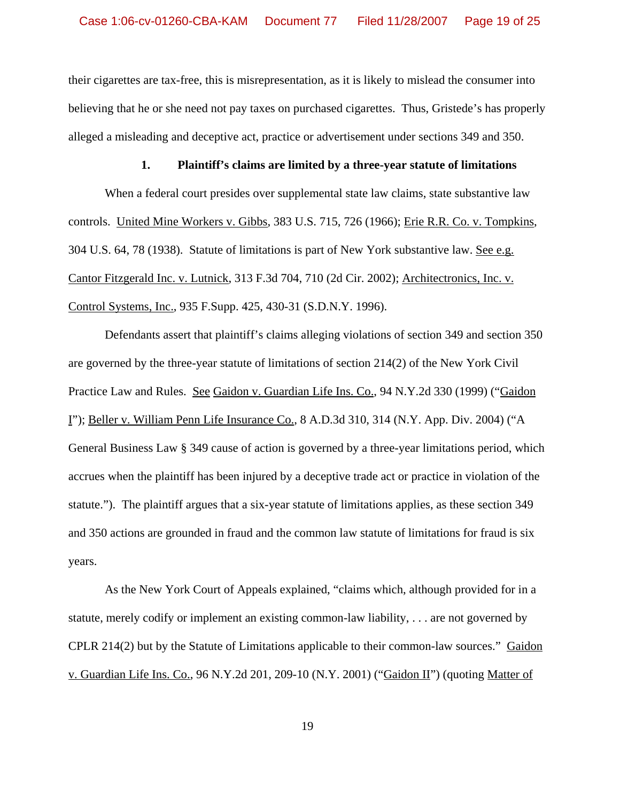their cigarettes are tax-free, this is misrepresentation, as it is likely to mislead the consumer into believing that he or she need not pay taxes on purchased cigarettes. Thus, Gristede's has properly alleged a misleading and deceptive act, practice or advertisement under sections 349 and 350.

#### **1. Plaintiff's claims are limited by a three-year statute of limitations**

When a federal court presides over supplemental state law claims, state substantive law controls. United Mine Workers v. Gibbs, 383 U.S. 715, 726 (1966); Erie R.R. Co. v. Tompkins, 304 U.S. 64, 78 (1938). Statute of limitations is part of New York substantive law. See e.g. Cantor Fitzgerald Inc. v. Lutnick, 313 F.3d 704, 710 (2d Cir. 2002); Architectronics, Inc. v. Control Systems, Inc., 935 F.Supp. 425, 430-31 (S.D.N.Y. 1996).

Defendants assert that plaintiff's claims alleging violations of section 349 and section 350 are governed by the three-year statute of limitations of section 214(2) of the New York Civil Practice Law and Rules. See Gaidon v. Guardian Life Ins. Co., 94 N.Y.2d 330 (1999) ("Gaidon I"); Beller v. William Penn Life Insurance Co., 8 A.D.3d 310, 314 (N.Y. App. Div. 2004) ("A General Business Law § 349 cause of action is governed by a three-year limitations period, which accrues when the plaintiff has been injured by a deceptive trade act or practice in violation of the statute."). The plaintiff argues that a six-year statute of limitations applies, as these section 349 and 350 actions are grounded in fraud and the common law statute of limitations for fraud is six years.

As the New York Court of Appeals explained, "claims which, although provided for in a statute, merely codify or implement an existing common-law liability, . . . are not governed by CPLR 214(2) but by the Statute of Limitations applicable to their common-law sources." Gaidon v. Guardian Life Ins. Co., 96 N.Y.2d 201, 209-10 (N.Y. 2001) ("Gaidon II") (quoting Matter of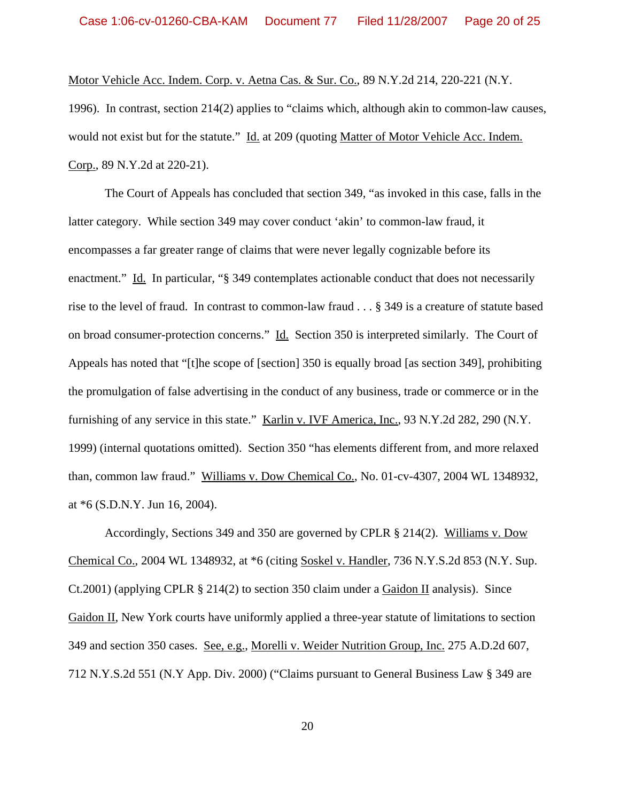Motor Vehicle Acc. Indem. Corp. v. Aetna Cas. & Sur. Co., 89 N.Y.2d 214, 220-221 (N.Y.

1996). In contrast, section 214(2) applies to "claims which, although akin to common-law causes, would not exist but for the statute." Id. at 209 (quoting Matter of Motor Vehicle Acc. Indem. Corp., 89 N.Y.2d at 220-21).

The Court of Appeals has concluded that section 349, "as invoked in this case, falls in the latter category. While section 349 may cover conduct 'akin' to common-law fraud, it encompasses a far greater range of claims that were never legally cognizable before its enactment." Id. In particular, "§ 349 contemplates actionable conduct that does not necessarily rise to the level of fraud. In contrast to common-law fraud . . . § 349 is a creature of statute based on broad consumer-protection concerns." Id. Section 350 is interpreted similarly. The Court of Appeals has noted that "[t]he scope of [section] 350 is equally broad [as section 349], prohibiting the promulgation of false advertising in the conduct of any business, trade or commerce or in the furnishing of any service in this state." Karlin v. IVF America, Inc., 93 N.Y.2d 282, 290 (N.Y. 1999) (internal quotations omitted). Section 350 "has elements different from, and more relaxed than, common law fraud." Williams v. Dow Chemical Co., No. 01-cv-4307, 2004 WL 1348932, at \*6 (S.D.N.Y. Jun 16, 2004).

Accordingly, Sections 349 and 350 are governed by CPLR § 214(2). Williams v. Dow Chemical Co., 2004 WL 1348932, at \*6 (citing Soskel v. Handler, 736 N.Y.S.2d 853 (N.Y. Sup. Ct.2001) (applying CPLR  $\S 214(2)$  to section 350 claim under a Gaidon II analysis). Since Gaidon II, New York courts have uniformly applied a three-year statute of limitations to section 349 and section 350 cases. See, e.g., Morelli v. Weider Nutrition Group, Inc. 275 A.D.2d 607, 712 N.Y.S.2d 551 (N.Y App. Div. 2000) ("Claims pursuant to General Business Law § 349 are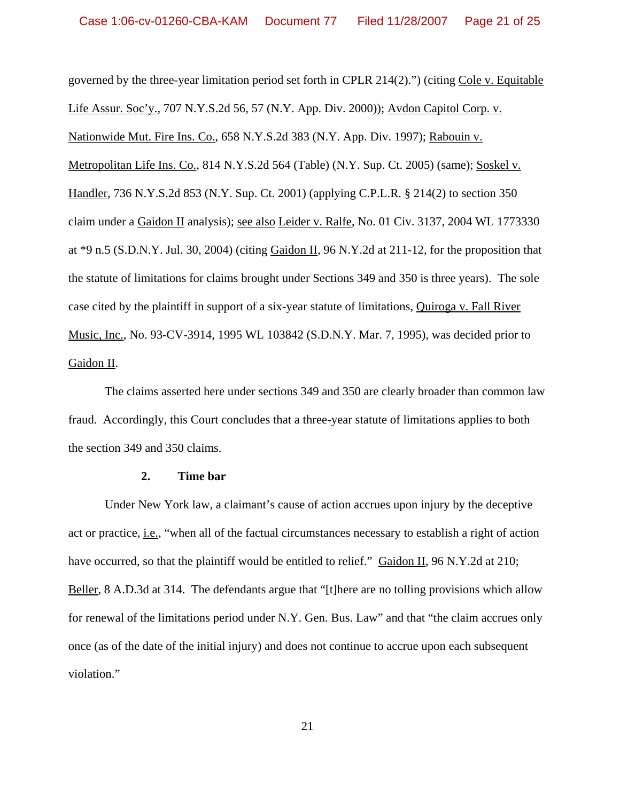governed by the three-year limitation period set forth in CPLR 214(2).") (citing Cole v. Equitable Life Assur. Soc'y., 707 N.Y.S.2d 56, 57 (N.Y. App. Div. 2000)); Avdon Capitol Corp. v. Nationwide Mut. Fire Ins. Co., 658 N.Y.S.2d 383 (N.Y. App. Div. 1997); Rabouin v. Metropolitan Life Ins. Co., 814 N.Y.S.2d 564 (Table) (N.Y. Sup. Ct. 2005) (same); Soskel v. Handler, 736 N.Y.S.2d 853 (N.Y. Sup. Ct. 2001) (applying C.P.L.R. § 214(2) to section 350 claim under a Gaidon II analysis); see also Leider v. Ralfe, No. 01 Civ. 3137, 2004 WL 1773330 at  $*9$  n.5 (S.D.N.Y. Jul. 30, 2004) (citing Gaidon II, 96 N.Y.2d at 211-12, for the proposition that the statute of limitations for claims brought under Sections 349 and 350 is three years). The sole case cited by the plaintiff in support of a six-year statute of limitations, Quiroga v. Fall River Music, Inc., No. 93-CV-3914, 1995 WL 103842 (S.D.N.Y. Mar. 7, 1995), was decided prior to Gaidon II.

The claims asserted here under sections 349 and 350 are clearly broader than common law fraud. Accordingly, this Court concludes that a three-year statute of limitations applies to both the section 349 and 350 claims.

#### **2. Time bar**

Under New York law, a claimant's cause of action accrues upon injury by the deceptive act or practice, i.e., "when all of the factual circumstances necessary to establish a right of action have occurred, so that the plaintiff would be entitled to relief." Gaidon II, 96 N.Y.2d at 210; Beller, 8 A.D.3d at 314. The defendants argue that "[t] here are no tolling provisions which allow for renewal of the limitations period under N.Y. Gen. Bus. Law" and that "the claim accrues only once (as of the date of the initial injury) and does not continue to accrue upon each subsequent violation."

21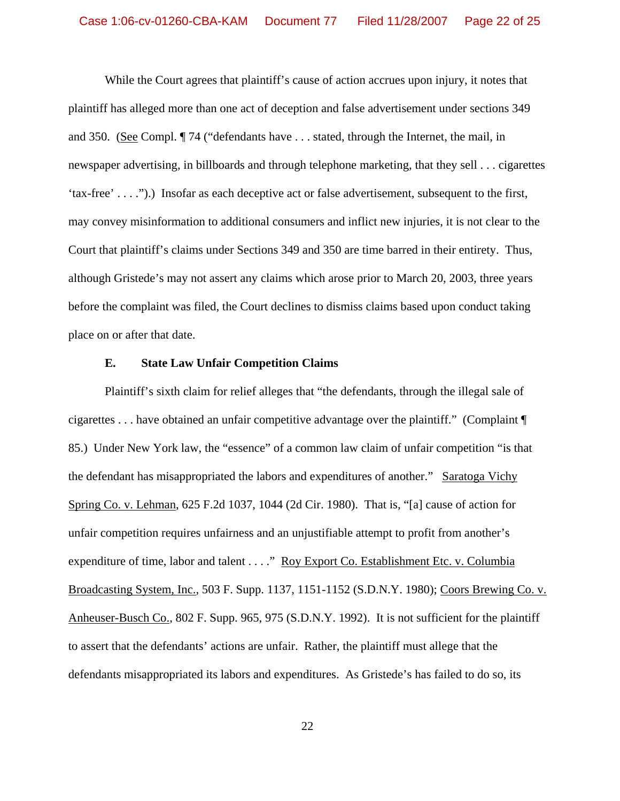While the Court agrees that plaintiff's cause of action accrues upon injury, it notes that plaintiff has alleged more than one act of deception and false advertisement under sections 349 and 350. (See Compl. ¶ 74 ("defendants have . . . stated, through the Internet, the mail, in newspaper advertising, in billboards and through telephone marketing, that they sell . . . cigarettes 'tax-free' . . . .").) Insofar as each deceptive act or false advertisement, subsequent to the first, may convey misinformation to additional consumers and inflict new injuries, it is not clear to the Court that plaintiff's claims under Sections 349 and 350 are time barred in their entirety. Thus, although Gristede's may not assert any claims which arose prior to March 20, 2003, three years before the complaint was filed, the Court declines to dismiss claims based upon conduct taking place on or after that date.

### **E. State Law Unfair Competition Claims**

Plaintiff's sixth claim for relief alleges that "the defendants, through the illegal sale of cigarettes . . . have obtained an unfair competitive advantage over the plaintiff." (Complaint ¶ 85.) Under New York law, the "essence" of a common law claim of unfair competition "is that the defendant has misappropriated the labors and expenditures of another." Saratoga Vichy Spring Co. v. Lehman, 625 F.2d 1037, 1044 (2d Cir. 1980). That is, "[a] cause of action for unfair competition requires unfairness and an unjustifiable attempt to profit from another's expenditure of time, labor and talent . . . . " Roy Export Co. Establishment Etc. v. Columbia Broadcasting System, Inc., 503 F. Supp. 1137, 1151-1152 (S.D.N.Y. 1980); Coors Brewing Co. v. Anheuser-Busch Co., 802 F. Supp. 965, 975 (S.D.N.Y. 1992). It is not sufficient for the plaintiff to assert that the defendants' actions are unfair. Rather, the plaintiff must allege that the defendants misappropriated its labors and expenditures. As Gristede's has failed to do so, its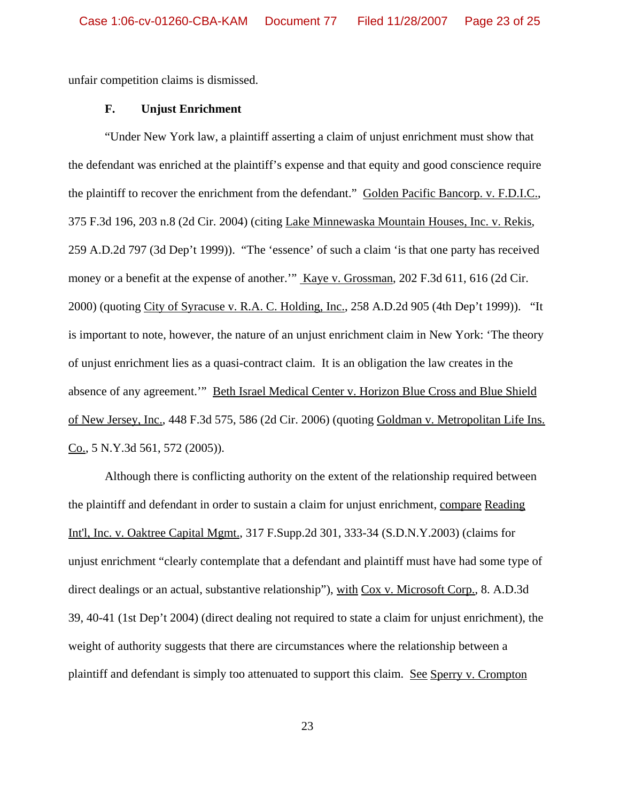unfair competition claims is dismissed.

### **F. Unjust Enrichment**

"Under New York law, a plaintiff asserting a claim of unjust enrichment must show that the defendant was enriched at the plaintiff's expense and that equity and good conscience require the plaintiff to recover the enrichment from the defendant." Golden Pacific Bancorp. v. F.D.I.C., 375 F.3d 196, 203 n.8 (2d Cir. 2004) (citing Lake Minnewaska Mountain Houses, Inc. v. Rekis, 259 A.D.2d 797 (3d Dep't 1999)). "The 'essence' of such a claim 'is that one party has received money or a benefit at the expense of another." Kaye v. Grossman, 202 F.3d 611, 616 (2d Cir. 2000) (quoting City of Syracuse v. R.A. C. Holding, Inc., 258 A.D.2d 905 (4th Dep't 1999)). "It is important to note, however, the nature of an unjust enrichment claim in New York: 'The theory of unjust enrichment lies as a quasi-contract claim. It is an obligation the law creates in the absence of any agreement.'" Beth Israel Medical Center v. Horizon Blue Cross and Blue Shield of New Jersey, Inc., 448 F.3d 575, 586 (2d Cir. 2006) (quoting Goldman v. Metropolitan Life Ins. Co., 5 N.Y.3d 561, 572 (2005)).

Although there is conflicting authority on the extent of the relationship required between the plaintiff and defendant in order to sustain a claim for unjust enrichment, compare Reading Int'l, Inc. v. Oaktree Capital Mgmt., 317 F.Supp.2d 301, 333-34 (S.D.N.Y.2003) (claims for unjust enrichment "clearly contemplate that a defendant and plaintiff must have had some type of direct dealings or an actual, substantive relationship"), with Cox v. Microsoft Corp., 8. A.D.3d 39, 40-41 (1st Dep't 2004) (direct dealing not required to state a claim for unjust enrichment), the weight of authority suggests that there are circumstances where the relationship between a plaintiff and defendant is simply too attenuated to support this claim. See Sperry v. Crompton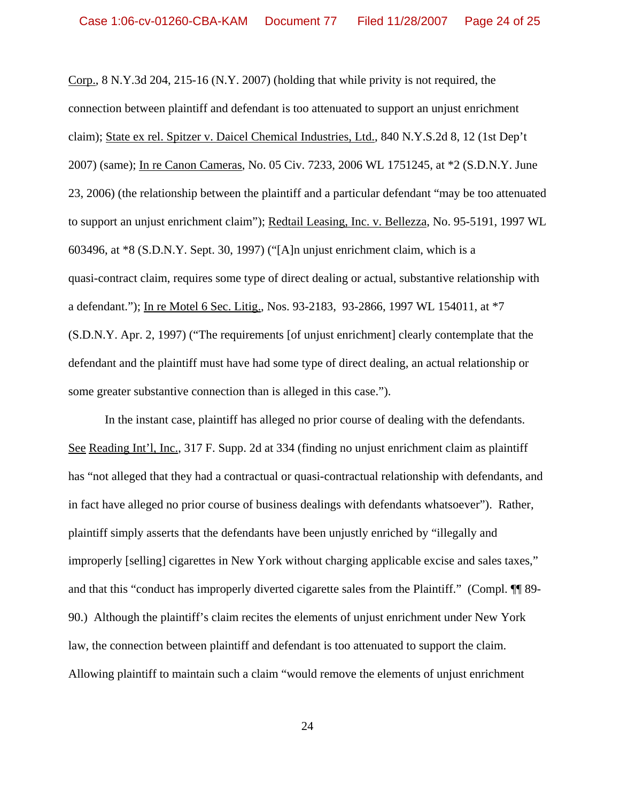Corp., 8 N.Y.3d 204, 215-16 (N.Y. 2007) (holding that while privity is not required, the connection between plaintiff and defendant is too attenuated to support an unjust enrichment claim); State ex rel. Spitzer v. Daicel Chemical Industries, Ltd., 840 N.Y.S.2d 8, 12 (1st Dep't 2007) (same); In re Canon Cameras, No. 05 Civ. 7233, 2006 WL 1751245, at \*2 (S.D.N.Y. June 23, 2006) (the relationship between the plaintiff and a particular defendant "may be too attenuated to support an unjust enrichment claim"); Redtail Leasing, Inc. v. Bellezza, No. 95-5191, 1997 WL 603496, at \*8 (S.D.N.Y. Sept. 30, 1997) ("[A]n unjust enrichment claim, which is a quasi-contract claim, requires some type of direct dealing or actual, substantive relationship with a defendant."); In re Motel 6 Sec. Litig., Nos. 93-2183, 93-2866, 1997 WL 154011, at \*7 (S.D.N.Y. Apr. 2, 1997) ("The requirements [of unjust enrichment] clearly contemplate that the defendant and the plaintiff must have had some type of direct dealing, an actual relationship or some greater substantive connection than is alleged in this case.").

In the instant case, plaintiff has alleged no prior course of dealing with the defendants. See Reading Int'l, Inc., 317 F. Supp. 2d at 334 (finding no unjust enrichment claim as plaintiff has "not alleged that they had a contractual or quasi-contractual relationship with defendants, and in fact have alleged no prior course of business dealings with defendants whatsoever"). Rather, plaintiff simply asserts that the defendants have been unjustly enriched by "illegally and improperly [selling] cigarettes in New York without charging applicable excise and sales taxes," and that this "conduct has improperly diverted cigarette sales from the Plaintiff." (Compl. ¶¶ 89- 90.) Although the plaintiff's claim recites the elements of unjust enrichment under New York law, the connection between plaintiff and defendant is too attenuated to support the claim. Allowing plaintiff to maintain such a claim "would remove the elements of unjust enrichment